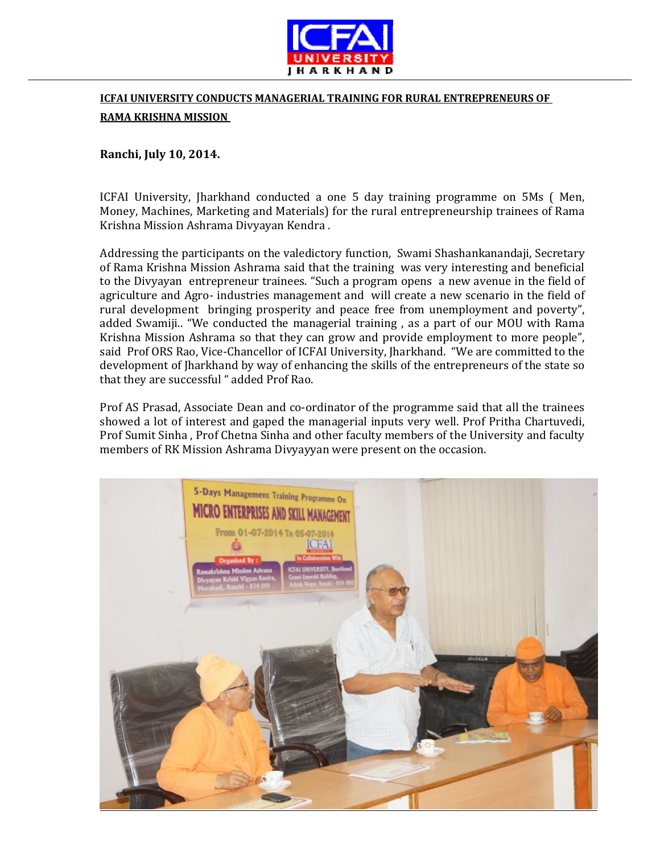

## **ICFAI UNIVERSITY CONDUCTS MANAGERIAL TRAINING FOR RURAL ENTREPRENEURS OF RAMA KRISHNA MISSION**

## **Ranchi, July 10, 2014.**

ICFAI University, Jharkhand conducted a one 5 day training programme on 5Ms ( Men, Money, Machines, Marketing and Materials) for the rural entrepreneurship trainees of Rama Krishna Mission Ashrama Divyayan Kendra .

Addressing the participants on the valedictory function, Swami Shashankanandaji, Secretary of Rama Krishna Mission Ashrama said that the training was very interesting and beneficial to the Divyayan entrepreneur trainees. "Such a program opens a new avenue in the field of agriculture and Agro‐ industries management and will create a new scenario in the field of rural development bringing prosperity and peace free from unemployment and poverty", added Swamiji.. "We conducted the managerial training , as a part of our MOU with Rama Krishna Mission Ashrama so that they can grow and provide employment to more people", said Prof ORS Rao, Vice‐Chancellor of ICFAI University, Jharkhand. "We are committed to the development of Jharkhand by way of enhancing the skills of the entrepreneurs of the state so that they are successful " added Prof Rao.

Prof AS Prasad, Associate Dean and co-ordinator of the programme said that all the trainees showed a lot of interest and gaped the managerial inputs very well. Prof Pritha Chartuvedi, Prof Sumit Sinha , Prof Chetna Sinha and other faculty members of the University and faculty members of RK Mission Ashrama Divyayyan were present on the occasion.